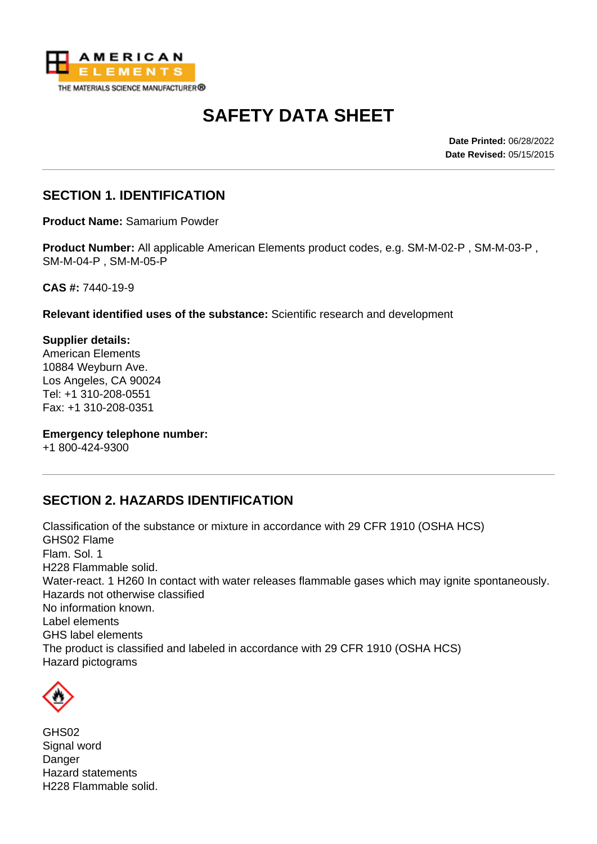

# **SAFETY DATA SHEET**

**Date Printed:** 06/28/2022 **Date Revised:** 05/15/2015

### **SECTION 1. IDENTIFICATION**

**Product Name:** Samarium Powder

**Product Number:** All applicable American Elements product codes, e.g. SM-M-02-P , SM-M-03-P , SM-M-04-P , SM-M-05-P

**CAS #:** 7440-19-9

**Relevant identified uses of the substance:** Scientific research and development

**Supplier details:** American Elements 10884 Weyburn Ave. Los Angeles, CA 90024 Tel: +1 310-208-0551 Fax: +1 310-208-0351

**Emergency telephone number:**

+1 800-424-9300

#### **SECTION 2. HAZARDS IDENTIFICATION**

Classification of the substance or mixture in accordance with 29 CFR 1910 (OSHA HCS) GHS02 Flame Flam. Sol. 1 H228 Flammable solid. Water-react. 1 H260 In contact with water releases flammable gases which may ignite spontaneously. Hazards not otherwise classified No information known. Label elements GHS label elements The product is classified and labeled in accordance with 29 CFR 1910 (OSHA HCS) Hazard pictograms



GHS02 Signal word Danger Hazard statements H228 Flammable solid.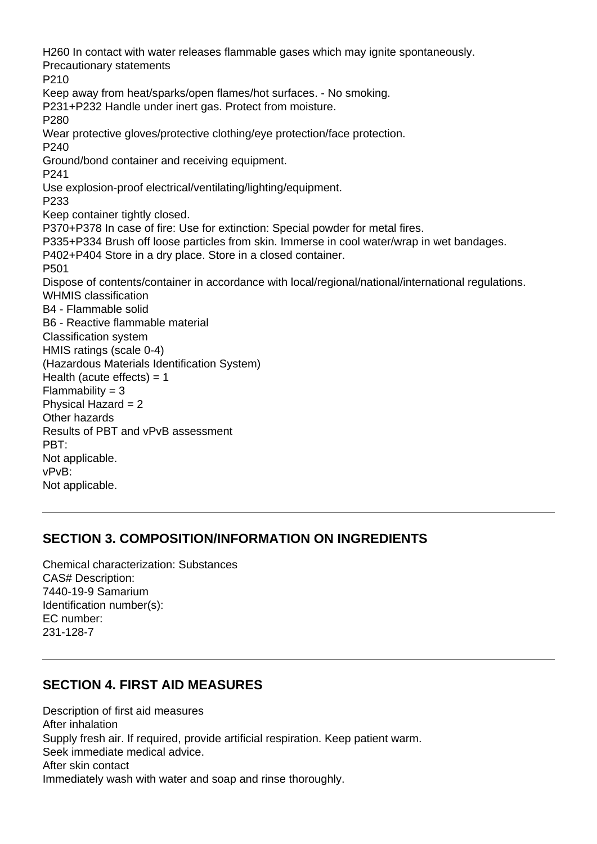H260 In contact with water releases flammable gases which may ignite spontaneously. Precautionary statements P210 Keep away from heat/sparks/open flames/hot surfaces. - No smoking. P231+P232 Handle under inert gas. Protect from moisture. P280 Wear protective gloves/protective clothing/eye protection/face protection. P240 Ground/bond container and receiving equipment. P241 Use explosion-proof electrical/ventilating/lighting/equipment. P233 Keep container tightly closed. P370+P378 In case of fire: Use for extinction: Special powder for metal fires. P335+P334 Brush off loose particles from skin. Immerse in cool water/wrap in wet bandages. P402+P404 Store in a dry place. Store in a closed container. P501 Dispose of contents/container in accordance with local/regional/national/international regulations. WHMIS classification B4 - Flammable solid B6 - Reactive flammable material Classification system HMIS ratings (scale 0-4) (Hazardous Materials Identification System) Health (acute effects)  $= 1$  $Flammability = 3$ Physical Hazard = 2 Other hazards Results of PBT and vPvB assessment PBT: Not applicable. vPvB: Not applicable.

#### **SECTION 3. COMPOSITION/INFORMATION ON INGREDIENTS**

Chemical characterization: Substances CAS# Description: 7440-19-9 Samarium Identification number(s): EC number: 231-128-7

## **SECTION 4. FIRST AID MEASURES**

Description of first aid measures After inhalation Supply fresh air. If required, provide artificial respiration. Keep patient warm. Seek immediate medical advice. After skin contact Immediately wash with water and soap and rinse thoroughly.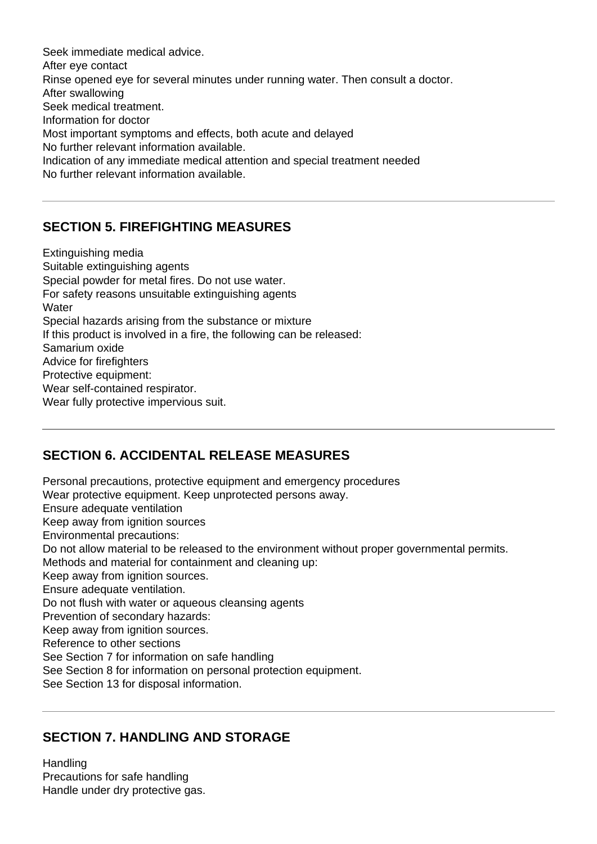Seek immediate medical advice. After eye contact Rinse opened eye for several minutes under running water. Then consult a doctor. After swallowing Seek medical treatment. Information for doctor Most important symptoms and effects, both acute and delayed No further relevant information available. Indication of any immediate medical attention and special treatment needed No further relevant information available.

## **SECTION 5. FIREFIGHTING MEASURES**

Extinguishing media Suitable extinguishing agents Special powder for metal fires. Do not use water. For safety reasons unsuitable extinguishing agents **Water** Special hazards arising from the substance or mixture If this product is involved in a fire, the following can be released: Samarium oxide Advice for firefighters Protective equipment: Wear self-contained respirator. Wear fully protective impervious suit.

#### **SECTION 6. ACCIDENTAL RELEASE MEASURES**

Personal precautions, protective equipment and emergency procedures Wear protective equipment. Keep unprotected persons away. Ensure adequate ventilation Keep away from ignition sources Environmental precautions: Do not allow material to be released to the environment without proper governmental permits. Methods and material for containment and cleaning up: Keep away from ignition sources. Ensure adequate ventilation. Do not flush with water or aqueous cleansing agents Prevention of secondary hazards: Keep away from ignition sources. Reference to other sections See Section 7 for information on safe handling See Section 8 for information on personal protection equipment. See Section 13 for disposal information.

#### **SECTION 7. HANDLING AND STORAGE**

**Handling** Precautions for safe handling Handle under dry protective gas.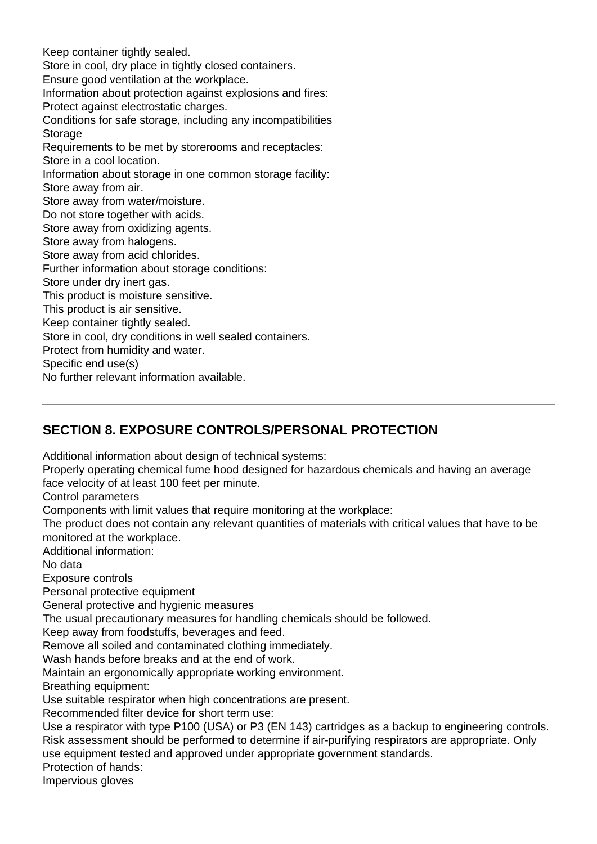Keep container tightly sealed. Store in cool, dry place in tightly closed containers. Ensure good ventilation at the workplace. Information about protection against explosions and fires: Protect against electrostatic charges. Conditions for safe storage, including any incompatibilities **Storage** Requirements to be met by storerooms and receptacles: Store in a cool location. Information about storage in one common storage facility: Store away from air. Store away from water/moisture. Do not store together with acids. Store away from oxidizing agents. Store away from halogens. Store away from acid chlorides. Further information about storage conditions: Store under dry inert gas. This product is moisture sensitive. This product is air sensitive. Keep container tightly sealed. Store in cool, dry conditions in well sealed containers. Protect from humidity and water. Specific end use(s) No further relevant information available.

## **SECTION 8. EXPOSURE CONTROLS/PERSONAL PROTECTION**

Additional information about design of technical systems:

Properly operating chemical fume hood designed for hazardous chemicals and having an average face velocity of at least 100 feet per minute.

Control parameters

Components with limit values that require monitoring at the workplace:

The product does not contain any relevant quantities of materials with critical values that have to be monitored at the workplace.

Additional information:

No data

Exposure controls

Personal protective equipment

General protective and hygienic measures

The usual precautionary measures for handling chemicals should be followed.

Keep away from foodstuffs, beverages and feed.

Remove all soiled and contaminated clothing immediately.

Wash hands before breaks and at the end of work.

Maintain an ergonomically appropriate working environment.

Breathing equipment:

Use suitable respirator when high concentrations are present.

Recommended filter device for short term use:

Use a respirator with type P100 (USA) or P3 (EN 143) cartridges as a backup to engineering controls. Risk assessment should be performed to determine if air-purifying respirators are appropriate. Only use equipment tested and approved under appropriate government standards.

Protection of hands:

Impervious gloves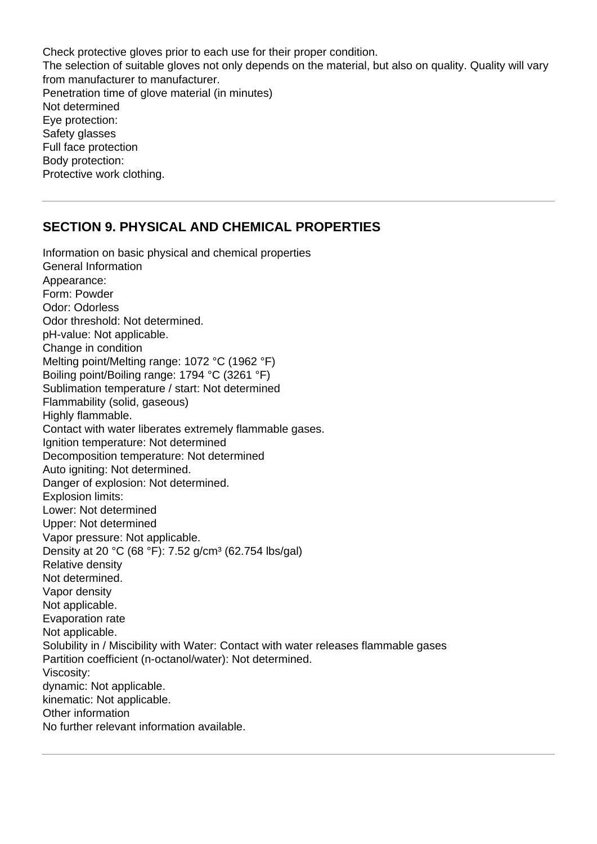Check protective gloves prior to each use for their proper condition. The selection of suitable gloves not only depends on the material, but also on quality. Quality will vary from manufacturer to manufacturer. Penetration time of glove material (in minutes) Not determined Eye protection: Safety glasses Full face protection Body protection: Protective work clothing.

#### **SECTION 9. PHYSICAL AND CHEMICAL PROPERTIES**

Information on basic physical and chemical properties General Information Appearance: Form: Powder Odor: Odorless Odor threshold: Not determined. pH-value: Not applicable. Change in condition Melting point/Melting range: 1072 °C (1962 °F) Boiling point/Boiling range: 1794 °C (3261 °F) Sublimation temperature / start: Not determined Flammability (solid, gaseous) Highly flammable. Contact with water liberates extremely flammable gases. Ignition temperature: Not determined Decomposition temperature: Not determined Auto igniting: Not determined. Danger of explosion: Not determined. Explosion limits: Lower: Not determined Upper: Not determined Vapor pressure: Not applicable. Density at 20 °C (68 °F): 7.52 g/cm<sup>3</sup> (62.754 lbs/gal) Relative density Not determined. Vapor density Not applicable. Evaporation rate Not applicable. Solubility in / Miscibility with Water: Contact with water releases flammable gases Partition coefficient (n-octanol/water): Not determined. Viscosity: dynamic: Not applicable. kinematic: Not applicable. Other information No further relevant information available.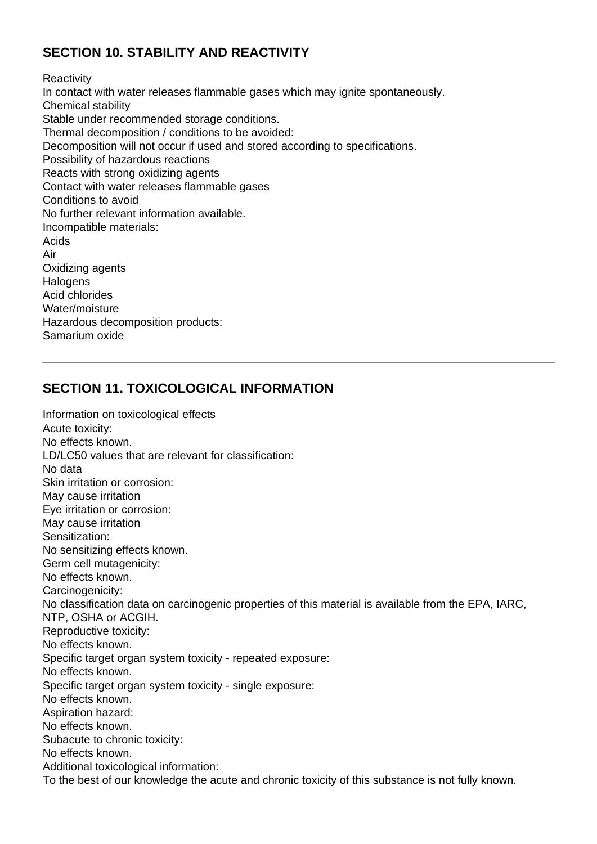## **SECTION 10. STABILITY AND REACTIVITY**

**Reactivity** In contact with water releases flammable gases which may ignite spontaneously. Chemical stability Stable under recommended storage conditions. Thermal decomposition / conditions to be avoided: Decomposition will not occur if used and stored according to specifications. Possibility of hazardous reactions Reacts with strong oxidizing agents Contact with water releases flammable gases Conditions to avoid No further relevant information available. Incompatible materials: Acids Air Oxidizing agents **Halogens** Acid chlorides Water/moisture Hazardous decomposition products: Samarium oxide

## **SECTION 11. TOXICOLOGICAL INFORMATION**

Information on toxicological effects Acute toxicity: No effects known. LD/LC50 values that are relevant for classification: No data Skin irritation or corrosion: May cause irritation Eye irritation or corrosion: May cause irritation Sensitization: No sensitizing effects known. Germ cell mutagenicity: No effects known. Carcinogenicity: No classification data on carcinogenic properties of this material is available from the EPA, IARC, NTP, OSHA or ACGIH. Reproductive toxicity: No effects known. Specific target organ system toxicity - repeated exposure: No effects known. Specific target organ system toxicity - single exposure: No effects known. Aspiration hazard: No effects known. Subacute to chronic toxicity: No effects known. Additional toxicological information: To the best of our knowledge the acute and chronic toxicity of this substance is not fully known.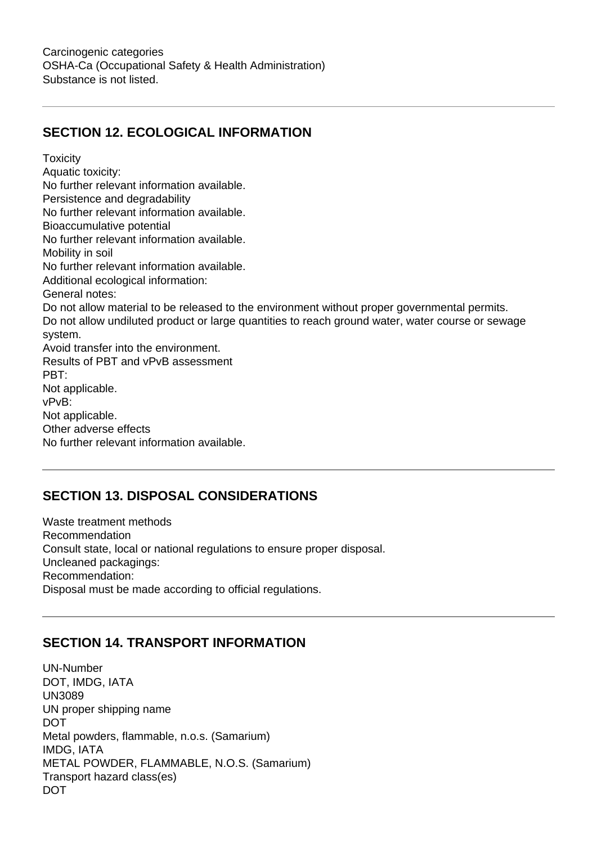#### **SECTION 12. ECOLOGICAL INFORMATION**

**Toxicity** Aquatic toxicity: No further relevant information available. Persistence and degradability No further relevant information available. Bioaccumulative potential No further relevant information available. Mobility in soil No further relevant information available. Additional ecological information: General notes: Do not allow material to be released to the environment without proper governmental permits. Do not allow undiluted product or large quantities to reach ground water, water course or sewage system. Avoid transfer into the environment. Results of PBT and vPvB assessment PBT: Not applicable. vPvB: Not applicable. Other adverse effects No further relevant information available.

## **SECTION 13. DISPOSAL CONSIDERATIONS**

Waste treatment methods Recommendation Consult state, local or national regulations to ensure proper disposal. Uncleaned packagings: Recommendation: Disposal must be made according to official regulations.

#### **SECTION 14. TRANSPORT INFORMATION**

UN-Number DOT, IMDG, IATA UN3089 UN proper shipping name DOT Metal powders, flammable, n.o.s. (Samarium) IMDG, IATA METAL POWDER, FLAMMABLE, N.O.S. (Samarium) Transport hazard class(es) DOT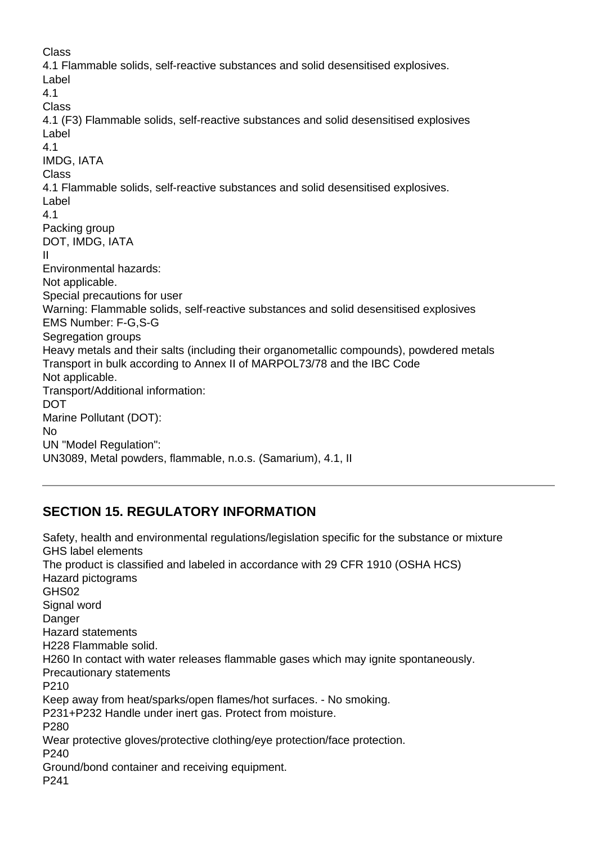Class 4.1 Flammable solids, self-reactive substances and solid desensitised explosives. Label 4.1 Class 4.1 (F3) Flammable solids, self-reactive substances and solid desensitised explosives Label 4.1 IMDG, IATA Class 4.1 Flammable solids, self-reactive substances and solid desensitised explosives. Label 4.1 Packing group DOT, IMDG, IATA II Environmental hazards: Not applicable. Special precautions for user Warning: Flammable solids, self-reactive substances and solid desensitised explosives EMS Number: F-G,S-G Segregation groups Heavy metals and their salts (including their organometallic compounds), powdered metals Transport in bulk according to Annex II of MARPOL73/78 and the IBC Code Not applicable. Transport/Additional information: **DOT** Marine Pollutant (DOT): No UN "Model Regulation": UN3089, Metal powders, flammable, n.o.s. (Samarium), 4.1, II

## **SECTION 15. REGULATORY INFORMATION**

Safety, health and environmental regulations/legislation specific for the substance or mixture GHS label elements The product is classified and labeled in accordance with 29 CFR 1910 (OSHA HCS) Hazard pictograms GHS02 Signal word Danger Hazard statements H228 Flammable solid. H260 In contact with water releases flammable gases which may ignite spontaneously. Precautionary statements P210 Keep away from heat/sparks/open flames/hot surfaces. - No smoking. P231+P232 Handle under inert gas. Protect from moisture. P280 Wear protective gloves/protective clothing/eye protection/face protection. P240 Ground/bond container and receiving equipment. P241